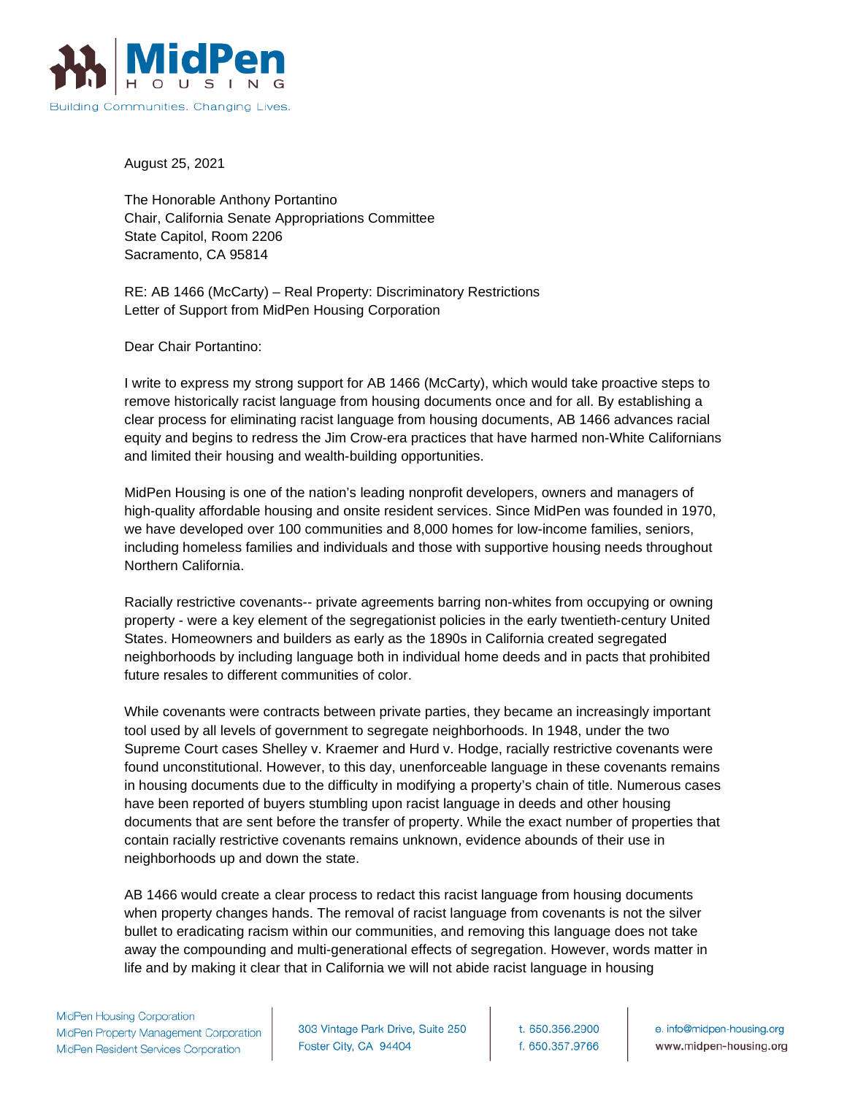

August 25, 2021

The Honorable Anthony Portantino Chair, California Senate Appropriations Committee State Capitol, Room 2206 Sacramento, CA 95814

RE: AB 1466 (McCarty) – Real Property: Discriminatory Restrictions Letter of Support from MidPen Housing Corporation

Dear Chair Portantino:

I write to express my strong support for AB 1466 (McCarty), which would take proactive steps to remove historically racist language from housing documents once and for all. By establishing a clear process for eliminating racist language from housing documents, AB 1466 advances racial equity and begins to redress the Jim Crow-era practices that have harmed non-White Californians and limited their housing and wealth-building opportunities.

MidPen Housing is one of the nation's leading nonprofit developers, owners and managers of high-quality affordable housing and onsite resident services. Since MidPen was founded in 1970, we have developed over 100 communities and 8,000 homes for low-income families, seniors, including homeless families and individuals and those with supportive housing needs throughout Northern California.

Racially restrictive covenants-- private agreements barring non-whites from occupying or owning property - were a key element of the segregationist policies in the early twentieth-century United States. Homeowners and builders as early as the 1890s in California created segregated neighborhoods by including language both in individual home deeds and in pacts that prohibited future resales to different communities of color.

While covenants were contracts between private parties, they became an increasingly important tool used by all levels of government to segregate neighborhoods. In 1948, under the two Supreme Court cases Shelley v. Kraemer and Hurd v. Hodge, racially restrictive covenants were found unconstitutional. However, to this day, unenforceable language in these covenants remains in housing documents due to the difficulty in modifying a property's chain of title. Numerous cases have been reported of buyers stumbling upon racist language in deeds and other housing documents that are sent before the transfer of property. While the exact number of properties that contain racially restrictive covenants remains unknown, evidence abounds of their use in neighborhoods up and down the state.

AB 1466 would create a clear process to redact this racist language from housing documents when property changes hands. The removal of racist language from covenants is not the silver bullet to eradicating racism within our communities, and removing this language does not take away the compounding and multi-generational effects of segregation. However, words matter in life and by making it clear that in California we will not abide racist language in housing

303 Vintage Park Drive, Suite 250 Foster City, CA 94404

t. 650.356.2900 f. 650.357.9766